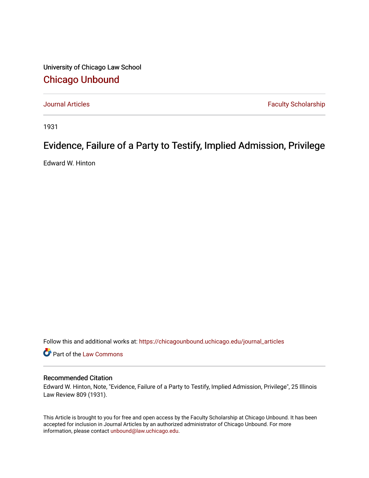University of Chicago Law School [Chicago Unbound](https://chicagounbound.uchicago.edu/)

[Journal Articles](https://chicagounbound.uchicago.edu/journal_articles) **Faculty Scholarship Faculty Scholarship** 

1931

## Evidence, Failure of a Party to Testify, Implied Admission, Privilege

Edward W. Hinton

Follow this and additional works at: [https://chicagounbound.uchicago.edu/journal\\_articles](https://chicagounbound.uchicago.edu/journal_articles?utm_source=chicagounbound.uchicago.edu%2Fjournal_articles%2F9106&utm_medium=PDF&utm_campaign=PDFCoverPages) 

Part of the [Law Commons](http://network.bepress.com/hgg/discipline/578?utm_source=chicagounbound.uchicago.edu%2Fjournal_articles%2F9106&utm_medium=PDF&utm_campaign=PDFCoverPages)

## Recommended Citation

Edward W. Hinton, Note, "Evidence, Failure of a Party to Testify, Implied Admission, Privilege", 25 Illinois Law Review 809 (1931).

This Article is brought to you for free and open access by the Faculty Scholarship at Chicago Unbound. It has been accepted for inclusion in Journal Articles by an authorized administrator of Chicago Unbound. For more information, please contact [unbound@law.uchicago.edu](mailto:unbound@law.uchicago.edu).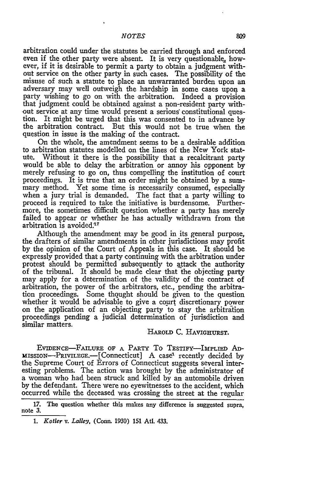arbitration could under the statutes be carried through and enforced even if the other party were absent. It is very questionable, however, if it is desirable to permit a party to obtain a judgment without service on the other party in such cases. The possibility of the misuse of such a statute to place an unwarranted burden upon an adversary may well outweigh the hardship in some cases upon a that judgment could be obtained against a non-resident party without service at any time would present a serious constitutional question. It might be urged that this was consented to in advance by the arbitration contract. But this would not be true when the question in issue is the making of the contract.

On the whole, the amendment seems to be a desirable addition to arbitration statutes modelled on the lines of the New York stature. Without it there is the possibility that a recalcitrant party would be able to delay the arbitration or annoy his opponent by merely refusing to go on, thus compelling the institution of court proceedings. It is true that an order might be obtained by a summary method. Yet some time is necessarily consumed, especially when a jury trial is demanded. The fact that a party willing to proceed is required to take the initiative is burdensome. Furthermore, the sometimes difficult question whether a party has merely failed to appear or whether he has actually withdrawn from the arbitration is avoided. $17$ 

Although the amendment may be good in its general purpose, the drafters of similar amendments in other jurisdictions may profit by the opinion of the Court of Appeals in this case. It should be expressly provided that a party continuing with the arbitration under protest should be permitted subsequently to attack the authority of the tribunal. It should be made clear that the objecting party may apply for a determination of the validity of the contract of arbitration, the power of the arbitrators, etc., pending the arbitrawhether it would be advisable to give a court discretionary power on the application of an objecting party to stay the arbitration proceedings pending a judicial determination of jurisdiction and similar matters.

## HAROLD C. HAVIGHURST.

EVIDENCE-FAILURE OF A PARTY TO TESTIFY-IMPLIED AD-MISSION-PRIVILEGE.-[Connecticut] A case' recently decided by the Supreme Court of Errors of Connecticut suggests several interesting problems. The action was brought by the administrator of a woman who had been struck and killed by an automobile driven by the defendant. There were no eyewitnesses to the accident, which occurred while the deceased was crossing the street at the regular

<sup>17.</sup> The question whether this makes any difference is suggested supra, note 3.

*<sup>1.</sup> Kotler v. Lalley,* (Conn. 1930) **151** At. 433.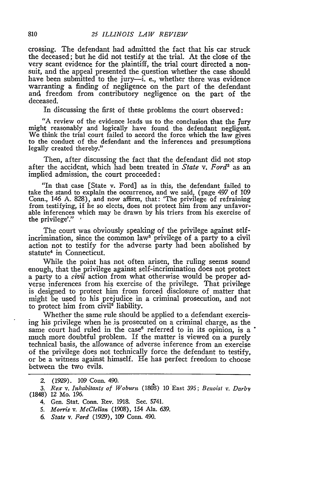crossing. The defendant had admitted the fact that his car struck the deceased; but he did not testify at the trial. At the close of the very scant evidence for the plaintiff, the trial court directed a nonsuit, and the appeal presented the question whether the case should have been submitted to the jury--i. e., whether there was evidence warranting a finding of negligence on the part of the defendant and freedom from contributory negligence on the part of the deceased.

In discussing the first of these problems the court observed:

"A review of the evidence leads us to the conclusion that the jury might reasonably and logically have found the defendant negligent. We think the trial court failed to accord the force which the law gives to the conduct of the defendant and the inferences and presumptions legally created thereby."

Then, after discussing the fact that the defendant did not stop after the accident, which had been treated in *State v. Ford2* as an implied admission, the court proceeded:

"In that case [State v. Ford] as in this, the defendant failed to take the stand to explain the occurrence, and we said, (page 497 of 109 Conn., 146 A. 828), and now affirm, that: 'The privilege of refraining from testifying, if he so elects, does not protect him from any unfavorable inferences which may be drawn by his triers from his exercise of the privilege'." **-**

The court was obviously speaking of the privilege against selfincrimination, since the common law<sup>3</sup> privilege of a party to a civil action not to testify for the adverse party had been abolished by statute4 in Connecticut.

While the point has not often arisen, the ruling seems sound enough, that the privilege against self-incrimination does not protect a party to a *civil* action from what otherwise would be proper adverse inferences from his exercise of the privilege. That privilege is designed to protect him from forced disclosure of matter that might be used to his prejudice in a criminal prosecution, and not to protect him from civil<sup>5</sup> liability.

Whether the same rule should be applied to a defendant exercising his privilege when he is prosecuted on a criminal charge, as the same court had ruled in the case<sup> $6$ </sup> referred to in its opinion, is a  $\degree$ much more doubtful problem. If the matter is viewed on a purely technical basis, the allowance of adverse inference from an exercise of the privilege does not technically force the defendant to testify, or be a witness against himself. He has perfect freedom to choose between the two evils.

- *5. Morris v. McClellan* (1908), 154 Ala. 639.
- 6. *State v. Ford* (1929), 109 Conn. 490.

<sup>2. (1929). 109</sup> Conn. 490.

*<sup>3.</sup> Rex v. Inhabitants of Woburn* (1808) 10 East 395; *Ben oist v. DarbV* (1848) 12 Mo. 196.

<sup>4.</sup> Gen. Stat. Conn. Rev. 1918. Sec. 5741.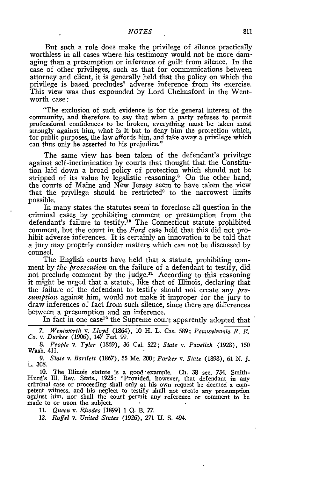## *NOTES*

But such a rule does make the privilege of silence practically worthless in all cases where his testimony would not be more damaging than a presumption or inference of guilt from silence. In the case of other privileges, such as that for communications between attorney and client, it is generally held that the policy on which the privilege is based precludes<sup>7</sup> adverse inference from its exercise. This view was thus expounded by Lord Chelmsford in the Wentworth case:

"The exclusion of such evidence is for the general interest of the community, and therefore to say that when a party refuses to permit professional confidences to be broken, everything must be taken most strongly against him, what is it but to deny him the protection which, for public purposes, the law affords him, and take away a privilege which can thus only be asserted to his prejudice."

The same view has been taken of the defendant's privilege against self-incrimination by courts that thought that the Constitution laid down a broad policy of protection which should not be stripped of its value by legalistic reasoning.<sup>8</sup> On the other hand the courts of Maine and New Jersey seem to have taken the view that the privilege should be restricted<sup>9</sup> to the narrowest limits possible.

In many states the statutes seem to foreclose all question in the criminal cases by prohibiting comment or presumption from the defendant's failure to testify.10 The Connecticut statute prohibited comment, but the court in the *Ford* case held that this did not prohibit adverse inferences. It is certainly an innovation to be told that a jury may properly consider matters which can not be discussed by counsel.

The English courts have held that a statute, prohibiting comment by *the prosecution* on the failure of a defendant to testify, did not preclude comment by the judge.<sup>11</sup> According to this reasoning it might be urged that a statute, like that of Illinois, declaring that the failure of the defendant to testify should not create any *presumption* against him, would not make it improper for the jury to draw inferences of fact from such silence, since there are differences between a presumption and an inference.

In fact in one case<sup>12</sup> the Supreme court apparently adopted that

*7. Wentworth* v. *Lloyd* (1664), **10** H. L. Cas. 589; *Pennwylvania R. R. Co. v.* Durkee **(1906),** 147 Fed. 99.

*8. People v. Tyler* (1869), 36 Cal. 522; *State v. Pavelich* (1928), 150 Wash. 411.

*9. State v. Bartlett* **(1867),** 55 Me. 200; *Parker v. State* (1898), 61 N. J. L. 308.

10. The Illinois statute is a good example. Ch. 38 sec. 734. Smith-Hurd's Ill. Rev. Stats., 1925: "Provided, however, that defendant in any criminal case or proceeding shall only at his own request be deemed a competent witness, and his neglect to testify shall not create any presumption against him, nor shall the court permit any reference or comment to be made to or upon the subject.

**11.** *Queen v. Rhodes* [1899] 1 Q. B. *77.*

*12. Raffel v. United States* **(1926), 271** *U.* **S. 494.**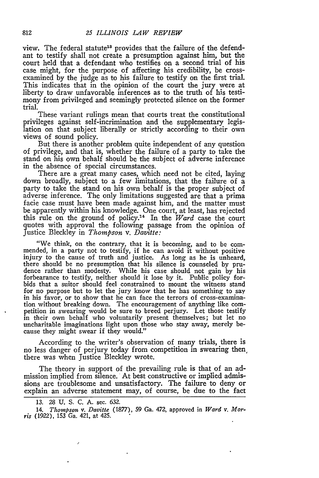view. The federal statute<sup>18</sup> provides that the failure of the defendant to testify shall not create a presumption against him, but the court held that a defendant who testifies on a second trial of his case might, for the purpose of affecting his credibility, be crossexamined by the judge as to his failure to testify on the first trial. This indicates that in the opinion of the court the jury were at liberty to draw unfavorable inferences as to the truth of his testimony from privileged and seemingly protected silence on the former trial.

These variant rulings mean that courts treat the constitutional privileges against self-incrimination and the supplementary legislation on that subject liberally or strictly according to their own views of sound policy.

But there is another problem quite independent of any question of privilege, and that is, whether the failure of a party to take the stand on his own behalf should be the subject of adverse inference in the absence of special circumstances.

There are a great many cases, which need not be cited, laying down broadly, subject to a few limitations, that the failure of a party to take the stand on his own behalf is the proper subject of adverse inference. The only limitations suggested are that a prima facie case must have been made against him, and the matter must be apparently within his knowledge. One court, at least, has rejected this rule on the ground of policy.14 In the *Ward* case the court quotes with approval the following passage from the opinion of Justice Bleckley in *Thompson v. Davitte:*

"We think, on the contrary, that it is becoming, and to be commended, in a party not to testify, if he can avoid it without positive injury to the cause of truth and justice. As long as he is unheard, there should be no presumption that his silence is counseled by pru- dence rather than modesty. While his case should not gain by his forbearance to testify, neither should it lose by it. Public policy forbids that a suitor should feel constrained to mount the witness stand for no purpose but to let the jury know that he has something to say in his favor, or to show that he can face the terrors of cross-examination without breaking down. The encouragement of anything like competition in swearing would be sure to breed perjury. Let those testify in their own behalf who voluntarily present themselves; but let no uncharitable imaginations light upon those who stay away, merely because they might swear if they would."

According to the writer's observation of many trials, there is no less danger of perjury today from competition in swearing then, there was when Justice Bleckley wrote.

The theory in support of the prevailing rule is that of an admission implied from silence. At best constructive or implied admissions are troublesome and unsatisfactory. The failure to deny or explain an adverse statement may, of course, be due to the fact

<sup>13. 28</sup> U. S. C. A. sec. 632.

<sup>14.</sup> *Thonpson v. Dazitte* (1877), 59 Ga. 472, approved in *Ward v. Morris* (1922), 153 Ga. 421, at 425.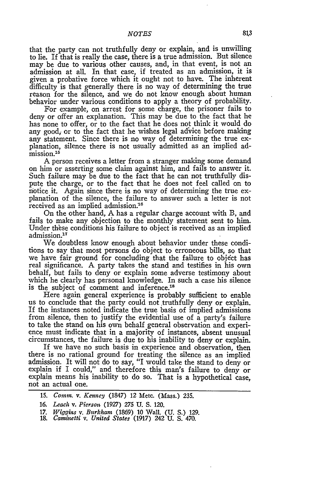that the party can not truthfully deny or explain, and is unwilling to lie. If that is really the case, there is a true admission. But silence may be due to various other causes, and, in that event, is not an admission at all. In that case, if treated as an admission, it is given a probative force which it ought not to have. The inherent difficulty is that generally there is no way of determining the true reason for the silence, and we do not know enough about human behavior under various conditions to apply a theory of probability.

For example, on arrest for some charge, the prisoner fails to deny or offer an explanation. This may be due to the fact that he has none to offer, or to the fact that he does not think it would do any good, or to the fact that he wishes legal advice before making any statement. Since there is no way of determining the true explanation, silence there is not usually admitted as an implied ad $m$ ission.<sup>15</sup>

A person receives a letter from a stranger making some demand on him or asserting some claim against him, and fails to answer it. Such failure may be due to the fact that he can not truthfully dispute the charge, or to the fact that he does not feel called on to notice it. Again since there is no way of determining the true explanation of the silence, the failure to answer such a letter is not received as an implied admission.<sup>16</sup>

On the other hand, A has a regular charge account with B, and fails to make any objection to the monthly statement sent to him. Under these conditions his 'failure to object is received as an implied admission.<sup>1</sup> "

We doubtless know enough about behavior under these conditions to say that most persons do object to erroneous bills, so that we have fair ground for concluding that the failure to object has real significance. A party takes the stand and testifies in his own behalf, but fails to deny or explain some adverse testimony about which he clearly has personal knowledge. In such a case his silence is the subject of comment and inference.<sup>18</sup>

Here again general experience is probably sufficient to enable us to conclude that the party could not truthfully deny or explain. If the instances noted indicate the true basis of implied admissions from silence, then to justify the evidential use of a party's failure to take the stand on his own behalf general observation and experience must indicate that in a majority of instances, absent unusual circumstances, the failure is due to his inability to deny or explain.

If we have no such basis in experience and observation, then there is no rational ground for treating the silence as an implied admission. It will not do to say, "I would take the stand to deny or explain if I could," and therefore this man's failure to deny or explain means his inability to do so. That is a hypothetical case, not an actual one.

- 17. *Wiggins v.* Burkham (1869) 10 Wall. (U. S.) 129. 18. *Caminetti v. United States* (1917) 242 U. S. 470.
- 

<sup>15.</sup> *Comm. v. Kenney* (1847) 12 Metc. (Mass.) 235.

<sup>16.</sup> *Leach* v. *Pierson* (1927) 275 U. S. 120.